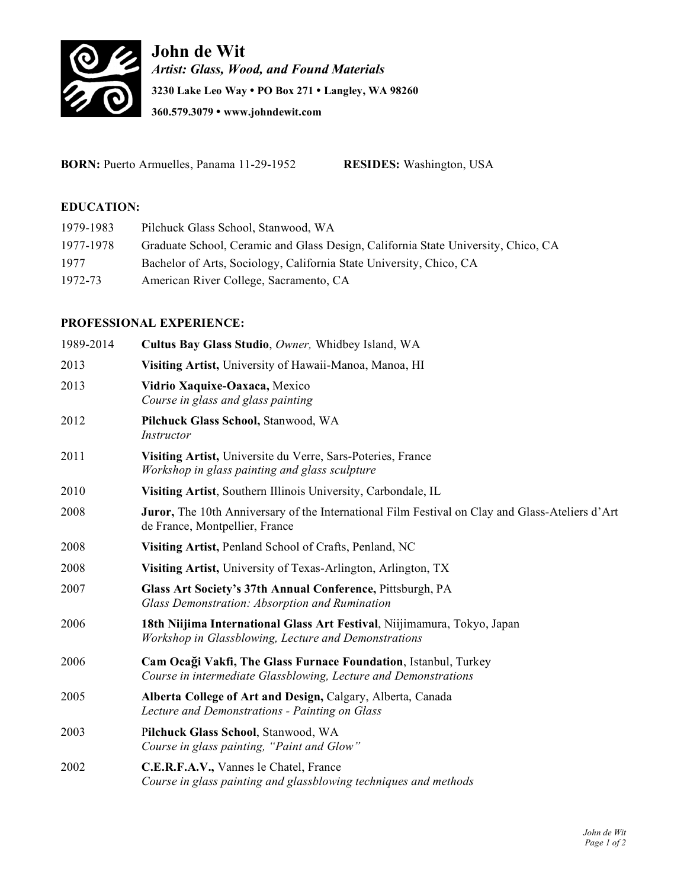

**John de Wit** *Artist: Glass, Wood, and Found Materials* **3230 Lake Leo Way • PO Box 271 • Langley, WA 98260 360.579.3079 • www.johndewit.com**

**BORN:** Puerto Armuelles, Panama 11-29-1952 **RESIDES:** Washington, USA

# **EDUCATION:**

| 1979-1983 | Pilchuck Glass School, Stanwood, WA                                               |
|-----------|-----------------------------------------------------------------------------------|
| 1977-1978 | Graduate School, Ceramic and Glass Design, California State University, Chico, CA |
| 1977      | Bachelor of Arts, Sociology, California State University, Chico, CA               |
| 1972-73   | American River College, Sacramento, CA                                            |

# **PROFESSIONAL EXPERIENCE:**

| 1989-2014 | Cultus Bay Glass Studio, Owner, Whidbey Island, WA                                                                                       |
|-----------|------------------------------------------------------------------------------------------------------------------------------------------|
| 2013      | Visiting Artist, University of Hawaii-Manoa, Manoa, HI                                                                                   |
| 2013      | Vidrio Xaquixe-Oaxaca, Mexico<br>Course in glass and glass painting                                                                      |
| 2012      | Pilchuck Glass School, Stanwood, WA<br>Instructor                                                                                        |
| 2011      | Visiting Artist, Universite du Verre, Sars-Poteries, France<br>Workshop in glass painting and glass sculpture                            |
| 2010      | Visiting Artist, Southern Illinois University, Carbondale, IL                                                                            |
| 2008      | <b>Juror,</b> The 10th Anniversary of the International Film Festival on Clay and Glass-Ateliers d'Art<br>de France, Montpellier, France |
| 2008      | Visiting Artist, Penland School of Crafts, Penland, NC                                                                                   |
| 2008      | Visiting Artist, University of Texas-Arlington, Arlington, TX                                                                            |
| 2007      | Glass Art Society's 37th Annual Conference, Pittsburgh, PA<br>Glass Demonstration: Absorption and Rumination                             |
| 2006      | 18th Niijima International Glass Art Festival, Niijimamura, Tokyo, Japan<br>Workshop in Glassblowing, Lecture and Demonstrations         |
| 2006      | Cam Ocaği Vakfi, The Glass Furnace Foundation, Istanbul, Turkey<br>Course in intermediate Glassblowing, Lecture and Demonstrations       |
| 2005      | Alberta College of Art and Design, Calgary, Alberta, Canada<br>Lecture and Demonstrations - Painting on Glass                            |
| 2003      | Pilchuck Glass School, Stanwood, WA<br>Course in glass painting, "Paint and Glow"                                                        |
| 2002      | C.E.R.F.A.V., Vannes le Chatel, France<br>Course in glass painting and glassblowing techniques and methods                               |